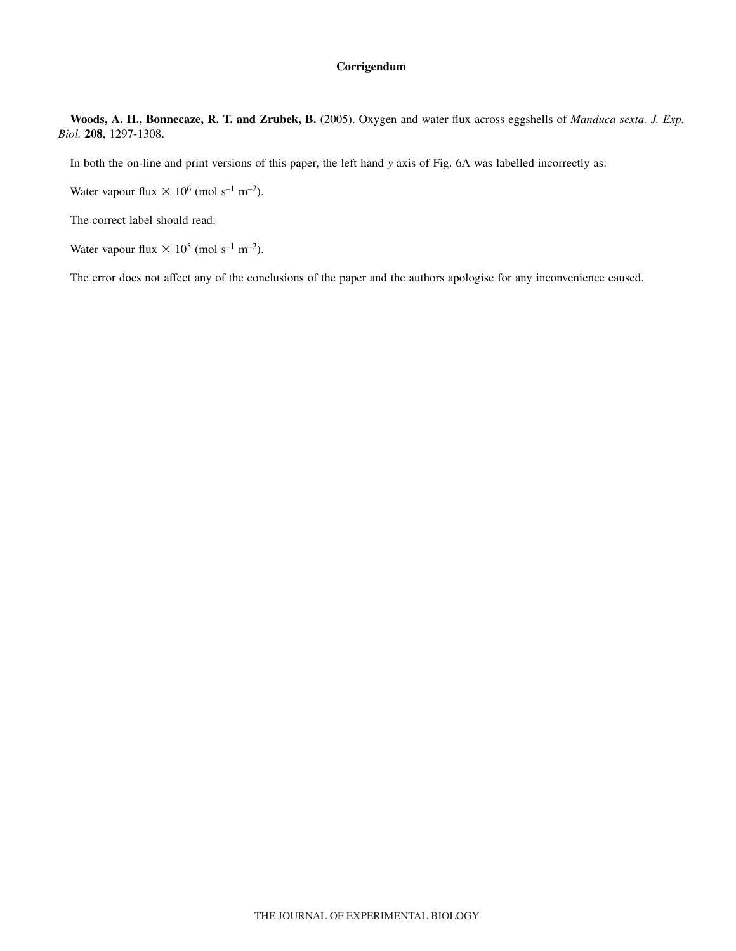## **Corrigendum**

**Woods, A. H., Bonnecaze, R. T. and Zrubek, B.** (2005). Oxygen and water flux across eggshells of *Manduca sexta. J. Exp. Biol.* **208**, 1297-1308.

In both the on-line and print versions of this paper, the left hand *y* axis of Fig. 6A was labelled incorrectly as:

```
Water vapour flux \times 10<sup>6</sup> (mol s<sup>-1</sup> m<sup>-2</sup>).
```
The correct label should read:

Water vapour flux  $\times$  10<sup>5</sup> (mol s<sup>-1</sup> m<sup>-2</sup>).

The error does not affect any of the conclusions of the paper and the authors apologise for any inconvenience caused.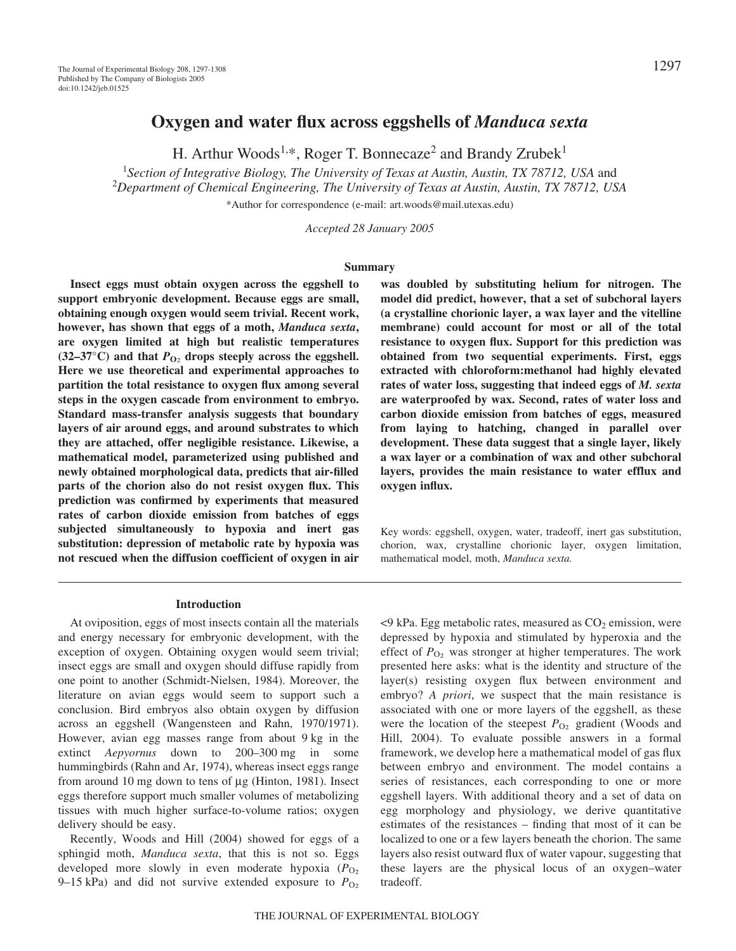# **Oxygen and water flux across eggshells of** *Manduca sexta*

H. Arthur Woods<sup>1,\*</sup>, Roger T. Bonnecaze<sup>2</sup> and Brandy Zrubek<sup>1</sup>

<sup>1</sup> Section of Integrative Biology, The University of Texas at Austin, Austin, TX 78712, USA and 2 *Department of Chemical Engineering, The University of Texas at Austin, Austin, TX 78712, USA* \*Author for correspondence (e-mail: art.woods@mail.utexas.edu)

*Accepted 28 January 2005*

#### **Summary**

**Insect eggs must obtain oxygen across the eggshell to support embryonic development. Because eggs are small, obtaining enough oxygen would seem trivial. Recent work, however, has shown that eggs of a moth,** *Manduca sexta***, are oxygen limited at high but realistic temperatures** (32–37 $\degree$ C) and that  $P_{O_2}$  drops steeply across the eggshell. **Here we use theoretical and experimental approaches to partition the total resistance to oxygen flux among several steps in the oxygen cascade from environment to embryo. Standard mass-transfer analysis suggests that boundary layers of air around eggs, and around substrates to which they are attached, offer negligible resistance. Likewise, a mathematical model, parameterized using published and newly obtained morphological data, predicts that air-filled parts of the chorion also do not resist oxygen flux. This prediction was confirmed by experiments that measured rates of carbon dioxide emission from batches of eggs subjected simultaneously to hypoxia and inert gas substitution: depression of metabolic rate by hypoxia was not rescued when the diffusion coefficient of oxygen in air**

**was doubled by substituting helium for nitrogen. The model did predict, however, that a set of subchoral layers (a crystalline chorionic layer, a wax layer and the vitelline membrane) could account for most or all of the total resistance to oxygen flux. Support for this prediction was obtained from two sequential experiments. First, eggs extracted with chloroform:methanol had highly elevated rates of water loss, suggesting that indeed eggs of** *M. sexta* **are waterproofed by wax. Second, rates of water loss and carbon dioxide emission from batches of eggs, measured from laying to hatching, changed in parallel over development. These data suggest that a single layer, likely a wax layer or a combination of wax and other subchoral layers, provides the main resistance to water efflux and oxygen influx.** 

Key words: eggshell, oxygen, water, tradeoff, inert gas substitution, chorion, wax, crystalline chorionic layer, oxygen limitation, mathematical model, moth, *Manduca sexta.*

#### **Introduction**

At oviposition, eggs of most insects contain all the materials and energy necessary for embryonic development, with the exception of oxygen. Obtaining oxygen would seem trivial; insect eggs are small and oxygen should diffuse rapidly from one point to another (Schmidt-Nielsen, 1984). Moreover, the literature on avian eggs would seem to support such a conclusion. Bird embryos also obtain oxygen by diffusion across an eggshell (Wangensteen and Rahn, 1970/1971). However, avian egg masses range from about 9 kg in the extinct *Aepyornus* down to 200–300 mg in some hummingbirds (Rahn and Ar, 1974), whereas insect eggs range from around 10 mg down to tens of  $\mu$ g (Hinton, 1981). Insect eggs therefore support much smaller volumes of metabolizing tissues with much higher surface-to-volume ratios; oxygen delivery should be easy.

Recently, Woods and Hill (2004) showed for eggs of a sphingid moth, *Manduca sexta*, that this is not so. Eggs developed more slowly in even moderate hypoxia  $(P<sub>O2</sub>)$ 9–15 kPa) and did not survive extended exposure to  $P_{O<sub>2</sub>}$ 

 $\langle 9 \text{ kPa.}$  Egg metabolic rates, measured as  $\text{CO}_2$  emission, were depressed by hypoxia and stimulated by hyperoxia and the effect of  $P_{Q_2}$  was stronger at higher temperatures. The work presented here asks: what is the identity and structure of the layer(s) resisting oxygen flux between environment and embryo? *A priori*, we suspect that the main resistance is associated with one or more layers of the eggshell, as these were the location of the steepest *P*<sub>O2</sub> gradient (Woods and Hill, 2004). To evaluate possible answers in a formal framework, we develop here a mathematical model of gas flux between embryo and environment. The model contains a series of resistances, each corresponding to one or more eggshell layers. With additional theory and a set of data on egg morphology and physiology, we derive quantitative estimates of the resistances – finding that most of it can be localized to one or a few layers beneath the chorion. The same layers also resist outward flux of water vapour, suggesting that these layers are the physical locus of an oxygen–water tradeoff.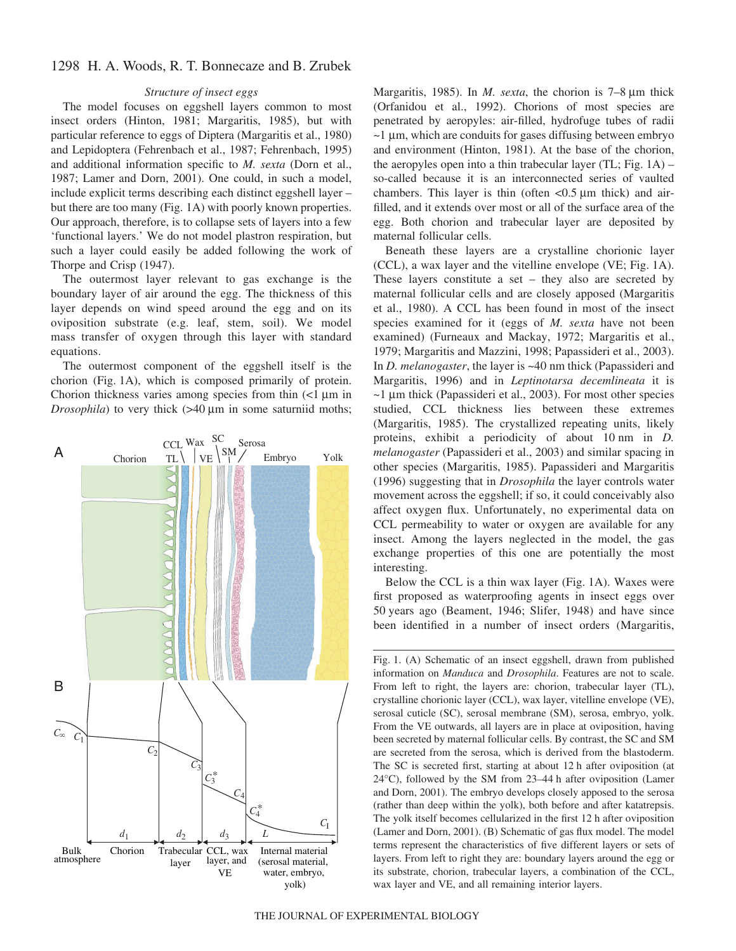## *Structure of insect eggs*

The model focuses on eggshell layers common to most insect orders (Hinton, 1981; Margaritis, 1985), but with particular reference to eggs of Diptera (Margaritis et al., 1980) and Lepidoptera (Fehrenbach et al., 1987; Fehrenbach, 1995) and additional information specific to *M. sexta* (Dorn et al., 1987; Lamer and Dorn, 2001). One could, in such a model, include explicit terms describing each distinct eggshell layer – but there are too many (Fig. 1A) with poorly known properties. Our approach, therefore, is to collapse sets of layers into a few 'functional layers.' We do not model plastron respiration, but such a layer could easily be added following the work of Thorpe and Crisp (1947).

The outermost layer relevant to gas exchange is the boundary layer of air around the egg. The thickness of this layer depends on wind speed around the egg and on its oviposition substrate (e.g. leaf, stem, soil). We model mass transfer of oxygen through this layer with standard equations.

The outermost component of the eggshell itself is the chorion (Fig. 1A), which is composed primarily of protein. Chorion thickness varies among species from thin  $\left($ <1  $\mu$ m in *Drosophila*) to very thick (>40 µm in some saturniid moths;



Margaritis, 1985). In *M. sexta*, the chorion is 7–8  $\mu$ m thick (Orfanidou et al., 1992). Chorions of most species are penetrated by aeropyles: air-filled, hydrofuge tubes of radii  $\sim$ 1 µm, which are conduits for gases diffusing between embryo and environment (Hinton, 1981). At the base of the chorion, the aeropyles open into a thin trabecular layer (TL; Fig.  $1A$ ) – so-called because it is an interconnected series of vaulted chambers. This layer is thin (often  $< 0.5 \mu m$  thick) and airfilled, and it extends over most or all of the surface area of the egg. Both chorion and trabecular layer are deposited by maternal follicular cells.

Beneath these layers are a crystalline chorionic layer  $(CCL)$ , a wax layer and the vitelline envelope  $(VE; Fig.1A)$ . These layers constitute a set – they also are secreted by maternal follicular cells and are closely apposed (Margaritis et al., 1980). A CCL has been found in most of the insect species examined for it (eggs of *M. sexta* have not been examined) (Furneaux and Mackay, 1972; Margaritis et al., 1979; Margaritis and Mazzini, 1998; Papassideri et al., 2003). In *D. melanogaster*, the layer is ~40 nm thick (Papassideri and Margaritis, 1996) and in *Leptinotarsa decemlineata* it is  $\sim$ 1 µm thick (Papassideri et al., 2003). For most other species studied, CCL thickness lies between these extremes (Margaritis, 1985). The crystallized repeating units, likely proteins, exhibit a periodicity of about 10 nm in *D*. *melanogaster* (Papassideri et al., 2003) and similar spacing in other species (Margaritis, 1985). Papassideri and Margaritis (1996) suggesting that in *Drosophila* the layer controls water movement across the eggshell; if so, it could conceivably also affect oxygen flux. Unfortunately, no experimental data on CCL permeability to water or oxygen are available for any insect. Among the layers neglected in the model, the gas exchange properties of this one are potentially the most interesting.

Below the CCL is a thin wax layer (Fig. 1A). Waxes were first proposed as waterproofing agents in insect eggs over 50 years ago (Beament, 1946; Slifer, 1948) and have since been identified in a number of insect orders (Margaritis,

Fig. 1. (A) Schematic of an insect eggshell, drawn from published information on *Manduca* and *Drosophila*. Features are not to scale. From left to right, the layers are: chorion, trabecular layer (TL), crystalline chorionic layer (CCL), wax layer, vitelline envelope (VE), serosal cuticle (SC), serosal membrane (SM), serosa, embryo, yolk. From the VE outwards, all layers are in place at oviposition, having been secreted by maternal follicular cells. By contrast, the SC and SM are secreted from the serosa, which is derived from the blastoderm. The SC is secreted first, starting at about 12 h after oviposition (at  $24^{\circ}$ C), followed by the SM from 23–44 h after oviposition (Lamer and Dorn, 2001). The embryo develops closely apposed to the serosa (rather than deep within the yolk), both before and after katatrepsis. The yolk itself becomes cellularized in the first 12 h after oviposition (Lamer and Dorn, 2001). (B) Schematic of gas flux model. The model terms represent the characteristics of five different layers or sets of layers. From left to right they are: boundary layers around the egg or its substrate, chorion, trabecular layers, a combination of the CCL, wax layer and VE, and all remaining interior layers.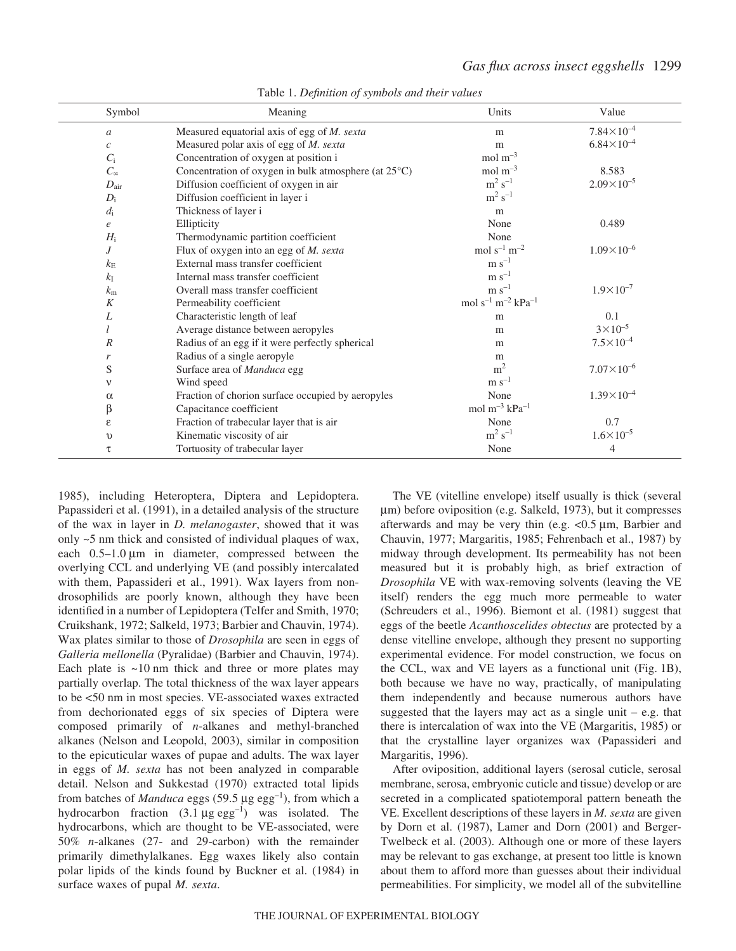| Symbol            | Meaning                                              | Units                                                 | Value                |
|-------------------|------------------------------------------------------|-------------------------------------------------------|----------------------|
| $\mathfrak a$     | Measured equatorial axis of egg of M. sexta          | m                                                     | $7.84\times10^{-4}$  |
| $\mathcal{C}_{0}$ | Measured polar axis of egg of M. sexta               | m                                                     | $6.84\times10^{-4}$  |
| $C_i$             | Concentration of oxygen at position i                | mol $m^{-3}$                                          |                      |
| $C_{\infty}$      | Concentration of oxygen in bulk atmosphere (at 25°C) | mol $m^{-3}$                                          | 8.583                |
| $D_{\text{air}}$  | Diffusion coefficient of oxygen in air               | $m^2 s^{-1}$                                          | $2.09\times10^{-5}$  |
| $D_i$             | Diffusion coefficient in layer i                     | $m^2 s^{-1}$                                          |                      |
| $d_{\rm i}$       | Thickness of layer i                                 | m                                                     |                      |
| $\epsilon$        | Ellipticity                                          | None                                                  | 0.489                |
| $H_i$             | Thermodynamic partition coefficient                  | None                                                  |                      |
| J                 | Flux of oxygen into an egg of M. sexta               | mol s <sup>-1</sup> m <sup>-2</sup>                   | $1.09\times10^{-6}$  |
| $k_{\rm E}$       | External mass transfer coefficient                   | $\rm m~s^{-1}$                                        |                      |
| $k_{\rm I}$       | Internal mass transfer coefficient                   | $\rm m~s^{-1}$                                        |                      |
| $k_{\rm m}$       | Overall mass transfer coefficient                    | $\rm m~s^{-1}$                                        | $1.9 \times 10^{-7}$ |
| K                 | Permeability coefficient                             | mol s <sup>-1</sup> m <sup>-2</sup> kPa <sup>-1</sup> |                      |
| L                 | Characteristic length of leaf                        | m                                                     | 0.1                  |
|                   | Average distance between aeropyles                   | m                                                     | $3 \times 10^{-5}$   |
| $\boldsymbol{R}$  | Radius of an egg if it were perfectly spherical      | m                                                     | $7.5 \times 10^{-4}$ |
| r                 | Radius of a single aeropyle                          | m                                                     |                      |
| S                 | Surface area of Manduca egg                          | m <sup>2</sup>                                        | $7.07\times10^{-6}$  |
| v                 | Wind speed                                           | $\rm m~s^{-1}$                                        |                      |
| $\alpha$          | Fraction of chorion surface occupied by aeropyles    | None                                                  | $1.39\times10^{-4}$  |
| β                 | Capacitance coefficient                              | mol $m^{-3}$ kPa <sup>-1</sup>                        |                      |
| ε                 | Fraction of trabecular layer that is air             | None                                                  | 0.7                  |
| $\upsilon$        | Kinematic viscosity of air                           | $m^2 s^{-1}$                                          | $1.6 \times 10^{-5}$ |
| τ                 | Tortuosity of trabecular layer                       | None                                                  | 4                    |

Table 1. *Definition of symbols and their values* 

1985), including Heteroptera, Diptera and Lepidoptera. Papassideri et al. (1991), in a detailed analysis of the structure of the wax in layer in *D. melanogaster*, showed that it was only  $\sim$  5 nm thick and consisted of individual plaques of wax, each  $0.5-1.0 \mu m$  in diameter, compressed between the overlying CCL and underlying VE (and possibly intercalated with them, Papassideri et al., 1991). Wax layers from nondrosophilids are poorly known, although they have been identified in a number of Lepidoptera (Telfer and Smith, 1970; Cruikshank, 1972; Salkeld, 1973; Barbier and Chauvin, 1974). Wax plates similar to those of *Drosophila* are seen in eggs of *Galleria mellonella* (Pyralidae) (Barbier and Chauvin, 1974). Each plate is  $\sim 10$  nm thick and three or more plates may partially overlap. The total thickness of the wax layer appears to be <50 nm in most species. VE-associated waxes extracted from dechorionated eggs of six species of Diptera were composed primarily of *n*-alkanes and methyl-branched alkanes (Nelson and Leopold, 2003), similar in composition to the epicuticular waxes of pupae and adults. The wax layer in eggs of *M. sexta* has not been analyzed in comparable detail. Nelson and Sukkestad (1970) extracted total lipids from batches of *Manduca* eggs (59.5  $\mu$ g egg<sup>-1</sup>), from which a hydrocarbon fraction  $(3.1 \text{ µg egg}^{-1})$  was isolated. The hydrocarbons, which are thought to be VE-associated, were 50% *n*-alkanes (27- and 29-carbon) with the remainder primarily dimethylalkanes. Egg waxes likely also contain polar lipids of the kinds found by Buckner et al. (1984) in surface waxes of pupal *M. sexta*.

The VE (vitelline envelope) itself usually is thick (several µm) before oviposition (e.g. Salkeld, 1973), but it compresses afterwards and may be very thin (e.g.  $< 0.5 \mu m$ , Barbier and Chauvin, 1977; Margaritis, 1985; Fehrenbach et al., 1987) by midway through development. Its permeability has not been measured but it is probably high, as brief extraction of *Drosophila* VE with wax-removing solvents (leaving the VE itself) renders the egg much more permeable to water (Schreuders et al., 1996). Biemont et al. (1981) suggest that eggs of the beetle *Acanthoscelides obtectus* are protected by a dense vitelline envelope, although they present no supporting experimental evidence. For model construction, we focus on the CCL, wax and VE layers as a functional unit (Fig.  $1B$ ), both because we have no way, practically, of manipulating them independently and because numerous authors have suggested that the layers may act as a single unit  $-$  e.g. that there is intercalation of wax into the VE (Margaritis, 1985) or that the crystalline layer organizes wax (Papassideri and Margaritis, 1996).

After oviposition, additional layers (serosal cuticle, serosal membrane, serosa, embryonic cuticle and tissue) develop or are secreted in a complicated spatiotemporal pattern beneath the VE. Excellent descriptions of these layers in *M. sexta* are given by Dorn et al. (1987), Lamer and Dorn (2001) and Berger-Twelbeck et al. (2003). Although one or more of these layers may be relevant to gas exchange, at present too little is known about them to afford more than guesses about their individual permeabilities. For simplicity, we model all of the subvitelline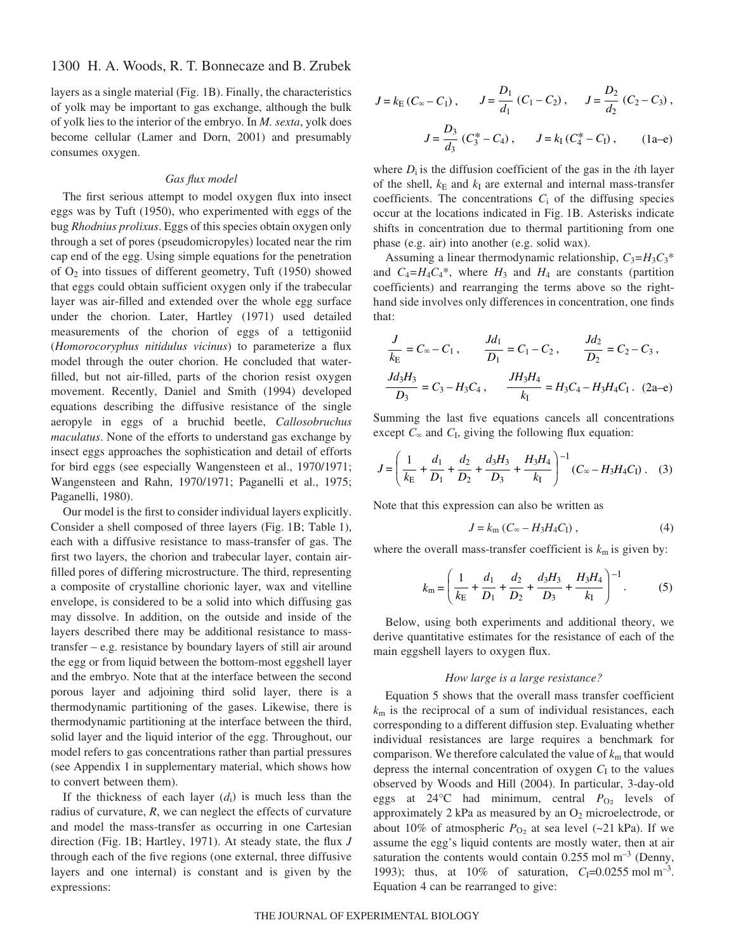layers as a single material (Fig. 1B). Finally, the characteristics of yolk may be important to gas exchange, although the bulk of yolk lies to the interior of the embryo. In *M. sexta*, yolk does become cellular (Lamer and Dorn, 2001) and presumably consumes oxygen.

## *Gas flux model*

The first serious attempt to model oxygen flux into insect eggs was by Tuft (1950), who experimented with eggs of the bug *Rhodnius prolixus*. Eggs of this species obtain oxygen only through a set of pores (pseudomicropyles) located near the rim cap end of the egg. Using simple equations for the penetration of  $O_2$  into tissues of different geometry, Tuft (1950) showed that eggs could obtain sufficient oxygen only if the trabecular layer was air-filled and extended over the whole egg surface under the chorion. Later, Hartley (1971) used detailed measurements of the chorion of eggs of a tettigoniid (*Homorocoryphus nitidulus vicinus*) to parameterize a flux model through the outer chorion. He concluded that waterfilled, but not air-filled, parts of the chorion resist oxygen movement. Recently, Daniel and Smith (1994) developed equations describing the diffusive resistance of the single aeropyle in eggs of a bruchid beetle, *Callosobruchus maculatus*. None of the efforts to understand gas exchange by insect eggs approaches the sophistication and detail of efforts for bird eggs (see especially Wangensteen et al., 1970/1971; Wangensteen and Rahn, 1970/1971; Paganelli et al., 1975; Paganelli, 1980).

Our model is the first to consider individual layers explicitly. Consider a shell composed of three layers (Fig. 1B; Table 1), each with a diffusive resistance to mass-transfer of gas. The first two layers, the chorion and trabecular layer, contain airfilled pores of differing microstructure. The third, representing a composite of crystalline chorionic layer, wax and vitelline envelope, is considered to be a solid into which diffusing gas may dissolve. In addition, on the outside and inside of the layers described there may be additional resistance to masstransfer – e.g. resistance by boundary layers of still air around the egg or from liquid between the bottom-most eggshell layer and the embryo. Note that at the interface between the second porous layer and adjoining third solid layer, there is a thermodynamic partitioning of the gases. Likewise, there is thermodynamic partitioning at the interface between the third, solid layer and the liquid interior of the egg. Throughout, our model refers to gas concentrations rather than partial pressures (see Appendix 1 in supplementary material, which shows how to convert between them).

If the thickness of each layer  $(d<sub>i</sub>)$  is much less than the radius of curvature, *R*, we can neglect the effects of curvature and model the mass-transfer as occurring in one Cartesian direction (Fig. 1B; Hartley, 1971). At steady state, the flux *J* through each of the five regions (one external, three diffusive layers and one internal) is constant and is given by the expressions:

$$
J = k_{\rm E} (C_{\infty} - C_1), \qquad J = \frac{D_1}{d_1} (C_1 - C_2), \qquad J = \frac{D_2}{d_2} (C_2 - C_3),
$$

$$
J = \frac{D_3}{d_3} (C_3^* - C_4), \qquad J = k_{\rm I} (C_4^* - C_1), \qquad (1a-e)
$$

where  $D_i$  is the diffusion coefficient of the gas in the *i*th layer of the shell,  $k_E$  and  $k_I$  are external and internal mass-transfer coefficients. The concentrations  $C_i$  of the diffusing species occur at the locations indicated in Fig. 1B. Asterisks indicate shifts in concentration due to thermal partitioning from one phase (e.g. air) into another (e.g. solid wax).

Assuming a linear thermodynamic relationship,  $C_3 = H_3 C_3^*$ and  $C_4 = H_4 C_4^*$ , where  $H_3$  and  $H_4$  are constants (partition coefficients) and rearranging the terms above so the righthand side involves only differences in concentration, one finds that:

$$
\frac{J}{k_{\rm E}} = C_{\infty} - C_1 , \qquad \frac{Jd_1}{D_1} = C_1 - C_2 , \qquad \frac{Jd_2}{D_2} = C_2 - C_3 ,
$$

$$
\frac{Jd_3H_3}{D_3} = C_3 - H_3C_4 , \qquad \frac{JH_3H_4}{k_{\rm I}} = H_3C_4 - H_3H_4C_1 . \quad (2a-e)
$$

Summing the last five equations cancels all concentrations except  $C_{\infty}$  and  $C_{I}$ , giving the following flux equation:

$$
J = \left(\frac{1}{k_{\rm E}} + \frac{d_1}{D_1} + \frac{d_2}{D_2} + \frac{d_3 H_3}{D_3} + \frac{H_3 H_4}{k_{\rm I}}\right)^{-1} (C_{\infty} - H_3 H_4 C_{\rm I})\,. \tag{3}
$$

Note that this expression can also be written as

$$
J = k_{\rm m} \left( C_{\infty} - H_3 H_4 C_1 \right), \tag{4}
$$

where the overall mass-transfer coefficient is  $k<sub>m</sub>$  is given by:

$$
k_{\rm m} = \left(\frac{1}{k_{\rm E}} + \frac{d_1}{D_1} + \frac{d_2}{D_2} + \frac{d_3 H_3}{D_3} + \frac{H_3 H_4}{k_1}\right)^{-1}.\tag{5}
$$

Below, using both experiments and additional theory, we derive quantitative estimates for the resistance of each of the main eggshell layers to oxygen flux.

#### *How large is a large resistance?*

Equation 5 shows that the overall mass transfer coefficient *k*<sup>m</sup> is the reciprocal of a sum of individual resistances, each corresponding to a different diffusion step. Evaluating whether individual resistances are large requires a benchmark for comparison. We therefore calculated the value of  $k<sub>m</sub>$  that would depress the internal concentration of oxygen  $C<sub>I</sub>$  to the values observed by Woods and Hill (2004). In particular, 3-day-old eggs at 24 $\degree$ C had minimum, central  $P_{O_2}$  levels of approximately 2 kPa as measured by an  $O_2$  microelectrode, or about 10% of atmospheric  $P_{\text{O}_2}$  at sea level (~21 kPa). If we assume the egg's liquid contents are mostly water, then at air saturation the contents would contain  $0.255$  mol m<sup>-3</sup> (Denny, 1993); thus, at 10% of saturation,  $C_1=0.0255 \text{ mol m}^{-3}$ . Equation 4 can be rearranged to give: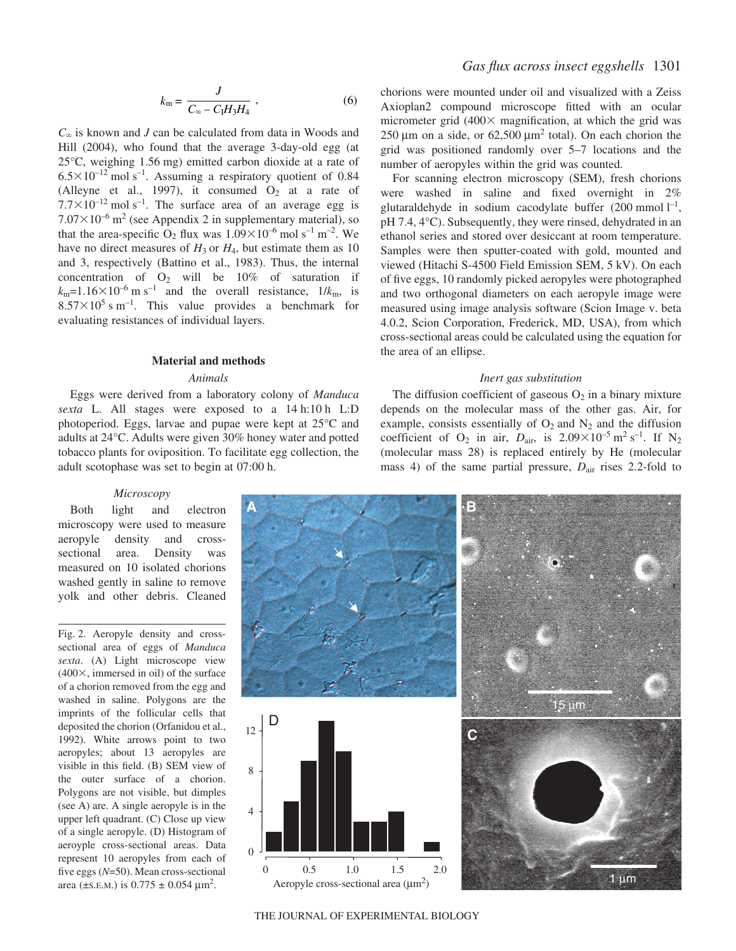$$
k_{\rm m} = \frac{J}{C_{\infty} - C_{\rm I} H_3 H_4} \,, \tag{6}
$$

 $C_{\infty}$  is known and *J* can be calculated from data in Woods and Hill (2004), who found that the average 3-day-old egg (at  $25^{\circ}$ C, weighing 1.56 mg) emitted carbon dioxide at a rate of  $6.5\times10^{-12}$  mol s<sup>-1</sup>. Assuming a respiratory quotient of 0.84 (Alleyne et al., 1997), it consumed  $O_2$  at a rate of  $7.7\times10^{-12}$  mol s<sup>-1</sup>. The surface area of an average egg is  $7.07\times10^{-6}$  m<sup>2</sup> (see Appendix 2 in supplementary material), so that the area-specific O<sub>2</sub> flux was  $1.09\times10^{-6}$  mol s<sup>-1</sup> m<sup>-2</sup>. We have no direct measures of  $H_3$  or  $H_4$ , but estimate them as 10 and 3, respectively (Battino et al., 1983). Thus, the internal concentration of  $O_2$  will be 10% of saturation if  $k_m$ =1.16×10<sup>-6</sup> m s<sup>-1</sup> and the overall resistance, 1/ $k_m$ , is  $8.57 \times 10^5$  s m<sup>-1</sup>. This value provides a benchmark for evaluating resistances of individual layers.

#### **Material and methods**

## *Animals*

Eggs were derived from a laboratory colony of *Manduca* sexta L. All stages were exposed to a 14 h:10 h L:D photoperiod. Eggs, larvae and pupae were kept at 25°C and adults at 24°C. Adults were given 30% honey water and potted tobacco plants for oviposition. To facilitate egg collection, the adult scotophase was set to begin at 07:00 h.

#### *Microscopy*

Both light and electron microscopy were used to measure aeropyle density and crosssectional area. Density was measured on 10 isolated chorions washed gently in saline to remove yolk and other debris. Cleaned

Fig. 2. Aeropyle density and crosssectional area of eggs of *Manduca sexta*. (A) Light microscope view  $(400\times,$  immersed in oil) of the surface of a chorion removed from the egg and washed in saline. Polygons are the imprints of the follicular cells that deposited the chorion (Orfanidou et al., 1992). White arrows point to two aeropyles; about 13 aeropyles are visible in this field. (B) SEM view of the outer surface of a chorion. Polygons are not visible, but dimples (see A) are. A single aeropyle is in the upper left quadrant. (C) Close up view of a single aeropyle. (D) Histogram of aeroyple cross-sectional areas. Data represent 10 aeropyles from each of five eggs (*N*=50). Mean cross-sectional area (±s.e.m.) is  $0.775 \pm 0.054 \,\text{\mu m}^2$ .

chorions were mounted under oil and visualized with a Zeiss Axioplan2 compound microscope fitted with an ocular micrometer grid  $(400 \times$  magnification, at which the grid was 250  $\mu$ m on a side, or 62,500  $\mu$ m<sup>2</sup> total). On each chorion the grid was positioned randomly over 5–7 locations and the number of aeropyles within the grid was counted.

For scanning electron microscopy (SEM), fresh chorions were washed in saline and fixed overnight in 2% glutaraldehyde in sodium cacodylate buffer  $(200 \text{ mmol } l^{-1})$ ,  $pH$  7.4, 4 $^{\circ}$ C). Subsequently, they were rinsed, dehydrated in an ethanol series and stored over desiccant at room temperature. Samples were then sputter-coated with gold, mounted and viewed (Hitachi S-4500 Field Emission SEM, 5 kV). On each of five eggs, 10 randomly picked aeropyles were photographed and two orthogonal diameters on each aeropyle image were measured using image analysis software (Scion Image v. beta 4.0.2, Scion Corporation, Frederick, MD, USA), from which cross-sectional areas could be calculated using the equation for the area of an ellipse.

## *Inert gas substitution*

The diffusion coefficient of gaseous  $O_2$  in a binary mixture depends on the molecular mass of the other gas. Air, for example, consists essentially of  $O_2$  and  $N_2$  and the diffusion coefficient of O<sub>2</sub> in air,  $D_{\text{air}}$ , is  $2.09 \times 10^{-5} \text{ m}^2 \text{ s}^{-1}$ . If N<sub>2</sub> (molecular mass 28) is replaced entirely by He (molecular mass 4) of the same partial pressure,  $D_{\text{air}}$  rises 2.2-fold to



THE JOURNAL OF EXPERIMENTAL BIOLOGY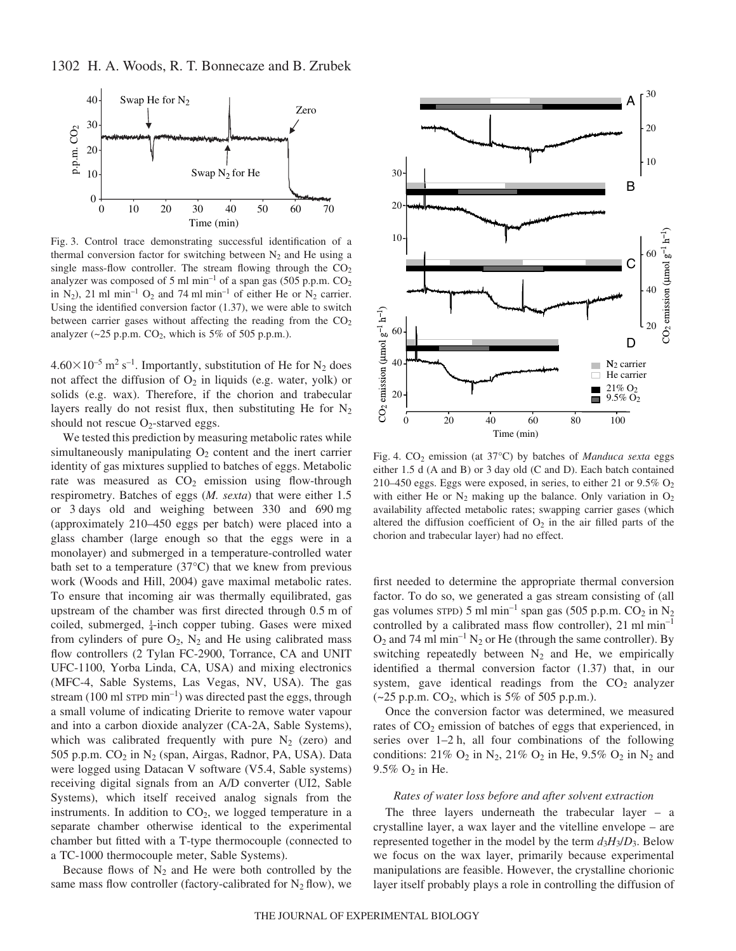

Fig. 3. Control trace demonstrating successful identification of a thermal conversion factor for switching between  $N_2$  and He using a single mass-flow controller. The stream flowing through the  $CO<sub>2</sub>$ analyzer was composed of 5 ml min<sup>-1</sup> of a span gas (505 p.p.m.  $CO<sub>2</sub>$ ) in N<sub>2</sub>), 21 ml min<sup>-1</sup> O<sub>2</sub> and 74 ml min<sup>-1</sup> of either He or N<sub>2</sub> carrier. Using the identified conversion factor (1.37), we were able to switch between carrier gases without affecting the reading from the  $CO<sub>2</sub>$ analyzer  $(\sim 25$  p.p.m. CO<sub>2</sub>, which is 5% of 505 p.p.m.).

 $4.60\times10^{-5}$  m<sup>2</sup> s<sup>-1</sup>. Importantly, substitution of He for N<sub>2</sub> does not affect the diffusion of  $O_2$  in liquids (e.g. water, yolk) or solids (e.g. wax). Therefore, if the chorion and trabecular layers really do not resist flux, then substituting He for  $N_2$ should not rescue  $O_2$ -starved eggs.

We tested this prediction by measuring metabolic rates while simultaneously manipulating  $O_2$  content and the inert carrier identity of gas mixtures supplied to batches of eggs. Metabolic rate was measured as  $CO<sub>2</sub>$  emission using flow-through respirometry. Batches of eggs (*M. sexta*) that were either 1.5 or 3 days old and weighing between 330 and 690 mg (approximately 210–450 eggs per batch) were placed into a glass chamber (large enough so that the eggs were in a monolayer) and submerged in a temperature-controlled water bath set to a temperature  $(37^{\circ}C)$  that we knew from previous work (Woods and Hill, 2004) gave maximal metabolic rates. To ensure that incoming air was thermally equilibrated, gas upstream of the chamber was first directed through 0.5 m of coiled, submerged,  $\frac{1}{4}$ -inch copper tubing. Gases were mixed from cylinders of pure  $O_2$ ,  $N_2$  and He using calibrated mass flow controllers (2 Tylan FC-2900, Torrance, CA and UNIT UFC-1100, Yorba Linda, CA, USA) and mixing electronics (MFC-4, Sable Systems, Las Vegas, NV, USA). The gas stream (100 ml strpp  $min^{-1}$ ) was directed past the eggs, through a small volume of indicating Drierite to remove water vapour and into a carbon dioxide analyzer (CA-2A, Sable Systems), which was calibrated frequently with pure  $N_2$  (zero) and 505 p.p.m.  $CO_2$  in  $N_2$  (span, Airgas, Radnor, PA, USA). Data were logged using Datacan V software (V5.4, Sable systems) receiving digital signals from an A/D converter (UI2, Sable Systems), which itself received analog signals from the instruments. In addition to  $CO<sub>2</sub>$ , we logged temperature in a separate chamber otherwise identical to the experimental chamber but fitted with a T-type thermocouple (connected to a TC-1000 thermocouple meter, Sable Systems).

Because flows of  $N_2$  and He were both controlled by the same mass flow controller (factory-calibrated for  $N_2$  flow), we



Fig. 4. CO<sub>2</sub> emission (at 37°C) by batches of *Manduca sexta* eggs either 1.5 d (A and B) or 3 day old (C and D). Each batch contained 210–450 eggs. Eggs were exposed, in series, to either 21 or  $9.5\%$  O<sub>2</sub> with either He or  $N_2$  making up the balance. Only variation in  $O_2$ availability affected metabolic rates; swapping carrier gases (which altered the diffusion coefficient of  $O_2$  in the air filled parts of the chorion and trabecular layer) had no effect.

first needed to determine the appropriate thermal conversion factor. To do so, we generated a gas stream consisting of (all gas volumes STPD) 5 ml min<sup>-1</sup> span gas (505 p.p.m. CO<sub>2</sub> in N<sub>2</sub> controlled by a calibrated mass flow controller),  $21 \text{ ml min}^{-1}$  $O_2$  and 74 ml min<sup>-1</sup> N<sub>2</sub> or He (through the same controller). By switching repeatedly between  $N_2$  and He, we empirically identified a thermal conversion factor (1.37) that, in our system, gave identical readings from the  $CO<sub>2</sub>$  analyzer  $(-25 \text{ p.p.m. } CO_2$ , which is 5% of 505 p.p.m.).

Once the conversion factor was determined, we measured rates of  $CO<sub>2</sub>$  emission of batches of eggs that experienced, in series over  $1-2$  h, all four combinations of the following conditions:  $21\%$  O<sub>2</sub> in N<sub>2</sub>,  $21\%$  O<sub>2</sub> in He,  $9.5\%$  O<sub>2</sub> in N<sub>2</sub> and 9.5%  $O_2$  in He.

#### *Rates of water loss before and after solvent extraction*

The three layers underneath the trabecular layer – a crystalline layer, a wax layer and the vitelline envelope – are represented together in the model by the term  $d_3H_3/D_3$ . Below we focus on the wax layer, primarily because experimental manipulations are feasible. However, the crystalline chorionic layer itself probably plays a role in controlling the diffusion of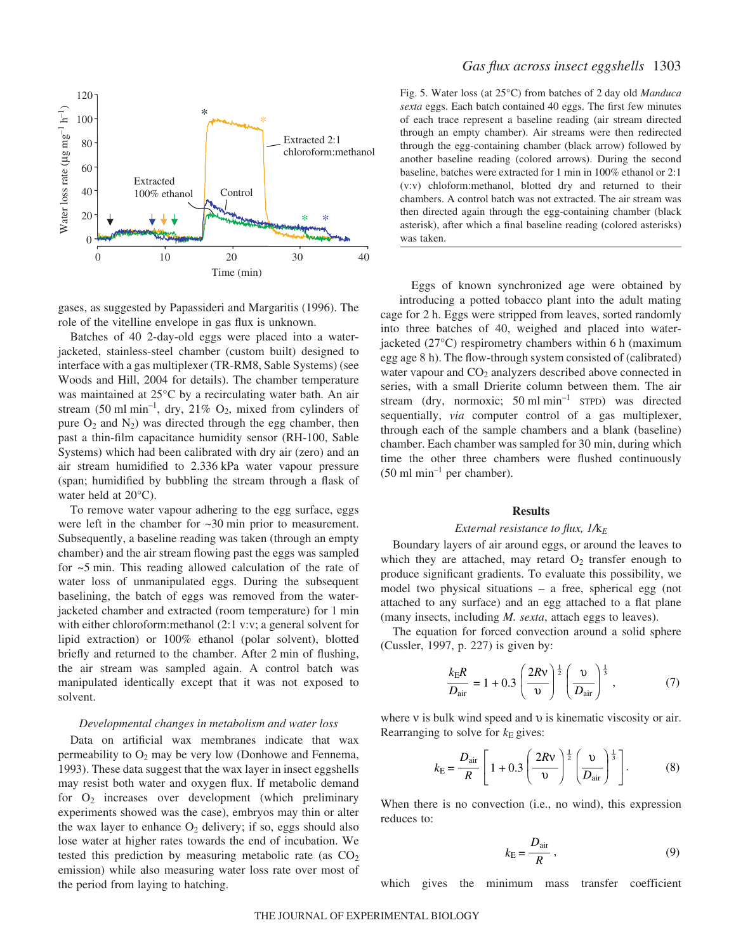

gases, as suggested by Papassideri and Margaritis (1996). The role of the vitelline envelope in gas flux is unknown.

Batches of 40 2-day-old eggs were placed into a waterjacketed, stainless-steel chamber (custom built) designed to interface with a gas multiplexer (TR-RM8, Sable Systems) (see Woods and Hill, 2004 for details). The chamber temperature was maintained at 25°C by a recirculating water bath. An air stream (50 ml min<sup>-1</sup>, dry, 21% O<sub>2</sub>, mixed from cylinders of pure  $O_2$  and  $N_2$ ) was directed through the egg chamber, then past a thin-film capacitance humidity sensor (RH-100, Sable Systems) which had been calibrated with dry air (zero) and an air stream humidified to 2.336·kPa water vapour pressure (span; humidified by bubbling the stream through a flask of water held at 20°C).

To remove water vapour adhering to the egg surface, eggs were left in the chamber for  $\sim$ 30 min prior to measurement. Subsequently, a baseline reading was taken (through an empty chamber) and the air stream flowing past the eggs was sampled for  $\sim$ 5 min. This reading allowed calculation of the rate of water loss of unmanipulated eggs. During the subsequent baselining, the batch of eggs was removed from the waterjacketed chamber and extracted (room temperature) for 1 min with either chloroform: methanol (2:1 v:v; a general solvent for lipid extraction) or 100% ethanol (polar solvent), blotted briefly and returned to the chamber. After 2 min of flushing, the air stream was sampled again. A control batch was manipulated identically except that it was not exposed to solvent.

#### *Developmental changes in metabolism and water loss*

Data on artificial wax membranes indicate that wax permeability to  $O_2$  may be very low (Donhowe and Fennema, 1993). These data suggest that the wax layer in insect eggshells may resist both water and oxygen flux. If metabolic demand for  $O_2$  increases over development (which preliminary experiments showed was the case), embryos may thin or alter the wax layer to enhance  $O_2$  delivery; if so, eggs should also lose water at higher rates towards the end of incubation. We tested this prediction by measuring metabolic rate (as  $CO<sub>2</sub>$ ) emission) while also measuring water loss rate over most of the period from laying to hatching.

Fig. 5. Water loss (at 25°C) from batches of 2 day old *Manduca sexta* eggs. Each batch contained 40 eggs. The first few minutes of each trace represent a baseline reading (air stream directed through an empty chamber). Air streams were then redirected through the egg-containing chamber (black arrow) followed by another baseline reading (colored arrows). During the second baseline, batches were extracted for 1 min in 100% ethanol or 2:1 (v:v) chloform:methanol, blotted dry and returned to their chambers. A control batch was not extracted. The air stream was then directed again through the egg-containing chamber (black asterisk), after which a final baseline reading (colored asterisks) was taken.

Eggs of known synchronized age were obtained by introducing a potted tobacco plant into the adult mating cage for 2 h. Eggs were stripped from leaves, sorted randomly into three batches of 40, weighed and placed into waterjacketed  $(27^{\circ}C)$  respirometry chambers within 6 h (maximum egg age 8 h). The flow-through system consisted of (calibrated) water vapour and  $CO<sub>2</sub>$  analyzers described above connected in series, with a small Drierite column between them. The air stream (dry, normoxic; 50 ml  $min^{-1}$  STPD) was directed sequentially, *via* computer control of a gas multiplexer, through each of the sample chambers and a blank (baseline) chamber. Each chamber was sampled for 30 min, during which time the other three chambers were flushed continuously  $(50 \text{ ml min}^{-1} \text{ per chamber}).$ 

### **Results**

#### *External resistance to flux, 1/*k*<sup>E</sup>*

Boundary layers of air around eggs, or around the leaves to which they are attached, may retard  $O_2$  transfer enough to produce significant gradients. To evaluate this possibility, we model two physical situations – a free, spherical egg (not attached to any surface) and an egg attached to a flat plane (many insects, including *M. sexta*, attach eggs to leaves).

The equation for forced convection around a solid sphere (Cussler, 1997, p. 227) is given by:

$$
\frac{k_{\rm E}R}{D_{\rm air}} = 1 + 0.3 \left(\frac{2Rv}{v}\right)^{\frac{1}{2}} \left(\frac{v}{D_{\rm air}}\right)^{\frac{1}{3}},\tag{7}
$$

where  $\nu$  is bulk wind speed and  $\nu$  is kinematic viscosity or air. Rearranging to solve for  $k<sub>E</sub>$  gives:

$$
k_{\rm E} = \frac{D_{\rm air}}{R} \left[ 1 + 0.3 \left( \frac{2Rv}{v} \right)^{\frac{1}{2}} \left( \frac{v}{D_{\rm air}} \right)^{\frac{1}{3}} \right].
$$
 (8)

When there is no convection (i.e., no wind), this expression reduces to:

$$
k_{\rm E} = \frac{D_{\rm air}}{R} \,,\tag{9}
$$

which gives the minimum mass transfer coefficient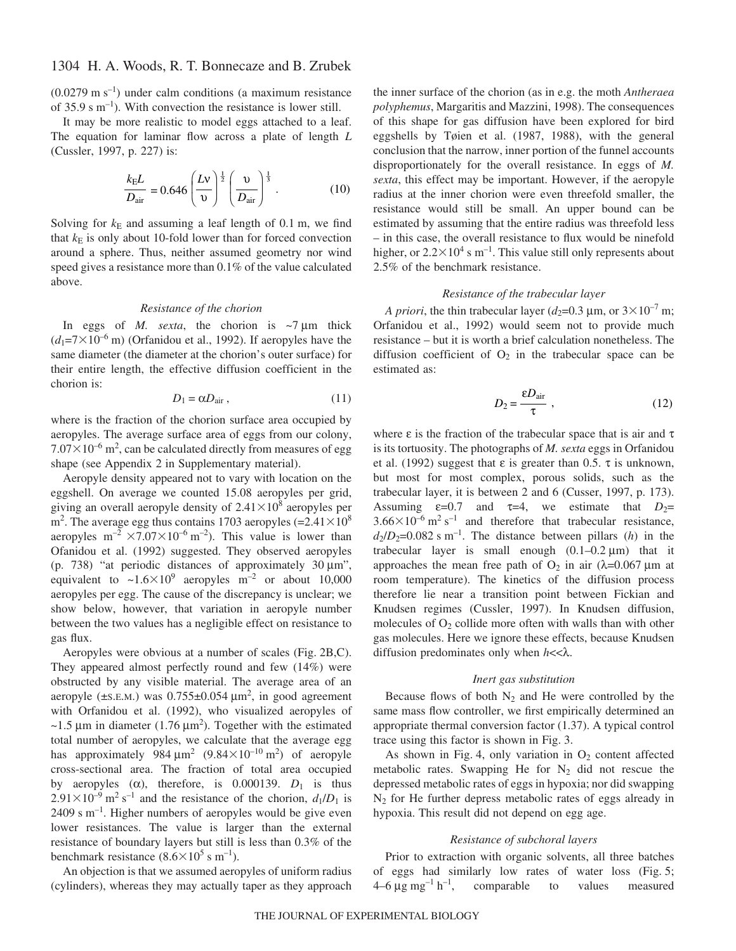$(0.0279 \text{ m s}^{-1})$  under calm conditions (a maximum resistance of 35.9 s  $m^{-1}$ ). With convection the resistance is lower still.

It may be more realistic to model eggs attached to a leaf. The equation for laminar flow across a plate of length *L* (Cussler, 1997, p. 227) is:

$$
\frac{k_{\rm E}L}{D_{\rm air}} = 0.646 \left(\frac{Lv}{v}\right)^{\frac{1}{2}} \left(\frac{v}{D_{\rm air}}\right)^{\frac{1}{3}}.
$$
 (10)

Solving for  $k<sub>E</sub>$  and assuming a leaf length of 0.1 m, we find that  $k<sub>E</sub>$  is only about 10-fold lower than for forced convection around a sphere. Thus, neither assumed geometry nor wind speed gives a resistance more than 0.1% of the value calculated above.

### *Resistance of the chorion*

In eggs of *M. sexta*, the chorion is  $\sim$ 7  $\mu$ m thick  $(d_1=7\times10^{-6} \text{ m})$  (Orfanidou et al., 1992). If aeropyles have the same diameter (the diameter at the chorion's outer surface) for their entire length, the effective diffusion coefficient in the chorion is:

$$
D_1 = \alpha D_{\text{air}} \,, \tag{11}
$$

where is the fraction of the chorion surface area occupied by aeropyles. The average surface area of eggs from our colony,  $7.07\times10^{-6}$  m<sup>2</sup>, can be calculated directly from measures of egg shape (see Appendix 2 in Supplementary material).

Aeropyle density appeared not to vary with location on the eggshell. On average we counted 15.08 aeropyles per grid, giving an overall aeropyle density of  $2.41 \times 10^8$  aeropyles per m<sup>2</sup>. The average egg thus contains 1703 aeropyles (=2.41 $\times$ 10<sup>8</sup>) aeropyles  $m^{-2} \times 7.07 \times 10^{-6}$  m<sup>-2</sup>). This value is lower than Ofanidou et al. (1992) suggested. They observed aeropyles (p. 738) "at periodic distances of approximately  $30 \mu m$ ", equivalent to  $\sim 1.6 \times 10^9$  aeropyles m<sup>-2</sup> or about 10,000 aeropyles per egg. The cause of the discrepancy is unclear; we show below, however, that variation in aeropyle number between the two values has a negligible effect on resistance to gas flux.

Aeropyles were obvious at a number of scales (Fig. 2B,C). They appeared almost perfectly round and few (14%) were obstructed by any visible material. The average area of an aeropyle ( $\pm$ s.E.M.) was 0.755 $\pm$ 0.054  $\mu$ m<sup>2</sup>, in good agreement with Orfanidou et al. (1992), who visualized aeropyles of ~1.5 µm in diameter (1.76  $\mu$ m<sup>2</sup>). Together with the estimated total number of aeropyles, we calculate that the average egg has approximately 984  $\mu$ m<sup>2</sup> (9.84 $\times$ 10<sup>-10</sup> m<sup>2</sup>) of aeropyle cross-sectional area. The fraction of total area occupied by aeropyles  $(\alpha)$ , therefore, is 0.000139.  $D_1$  is thus  $2.91 \times 10^{-9}$  m<sup>2</sup> s<sup>-1</sup> and the resistance of the chorion,  $d_1/D_1$  is  $2409$  s m<sup>-1</sup>. Higher numbers of aeropyles would be give even lower resistances. The value is larger than the external resistance of boundary layers but still is less than 0.3% of the benchmark resistance  $(8.6\times10^5 \text{ s m}^{-1})$ .

An objection is that we assumed aeropyles of uniform radius (cylinders), whereas they may actually taper as they approach the inner surface of the chorion (as in e.g. the moth *Antheraea polyphemus*, Margaritis and Mazzini, 1998). The consequences of this shape for gas diffusion have been explored for bird eggshells by Tøien et al. (1987, 1988), with the general conclusion that the narrow, inner portion of the funnel accounts disproportionately for the overall resistance. In eggs of *M. sexta*, this effect may be important. However, if the aeropyle radius at the inner chorion were even threefold smaller, the resistance would still be small. An upper bound can be estimated by assuming that the entire radius was threefold less – in this case, the overall resistance to flux would be ninefold higher, or  $2.2 \times 10^4$  s m<sup>-1</sup>. This value still only represents about 2.5% of the benchmark resistance.

#### *Resistance of the trabecular layer*

*A priori*, the thin trabecular layer ( $d_2$ =0.3 µm, or  $3 \times 10^{-7}$  m; Orfanidou et al., 1992) would seem not to provide much resistance – but it is worth a brief calculation nonetheless. The diffusion coefficient of  $O_2$  in the trabecular space can be estimated as:

$$
D_2 = \frac{\varepsilon D_{\text{air}}}{\tau} \tag{12}
$$

where  $\varepsilon$  is the fraction of the trabecular space that is air and  $\tau$ is its tortuosity. The photographs of *M. sexta* eggs in Orfanidou et al. (1992) suggest that  $\varepsilon$  is greater than 0.5.  $\tau$  is unknown, but most for most complex, porous solids, such as the trabecular layer, it is between 2 and 6 (Cusser, 1997, p. 173). Assuming  $\varepsilon=0.7$  and  $\tau=4$ , we estimate that  $D_2=$  $3.66 \times 10^{-6}$  m<sup>2</sup> s<sup>-1</sup> and therefore that trabecular resistance,  $d_2/D_2=0.082$  s m<sup>-1</sup>. The distance between pillars (*h*) in the trabecular layer is small enough  $(0.1-0.2 \mu m)$  that it approaches the mean free path of  $O_2$  in air ( $\lambda$ =0.067 µm at room temperature). The kinetics of the diffusion process therefore lie near a transition point between Fickian and Knudsen regimes (Cussler, 1997). In Knudsen diffusion, molecules of  $O_2$  collide more often with walls than with other gas molecules. Here we ignore these effects, because Knudsen diffusion predominates only when *h*<<λ.

## *Inert gas substitution*

Because flows of both  $N_2$  and He were controlled by the same mass flow controller, we first empirically determined an appropriate thermal conversion factor (1.37). A typical control trace using this factor is shown in Fig. 3.

As shown in Fig. 4, only variation in  $O_2$  content affected metabolic rates. Swapping He for  $N_2$  did not rescue the depressed metabolic rates of eggs in hypoxia; nor did swapping  $N_2$  for He further depress metabolic rates of eggs already in hypoxia. This result did not depend on egg age.

## *Resistance of subchoral layers*

Prior to extraction with organic solvents, all three batches of eggs had similarly low rates of water loss (Fig. 5; 4–6  $\mu$ g mg<sup>-1</sup> h<sup>-1</sup>, comparable to values measured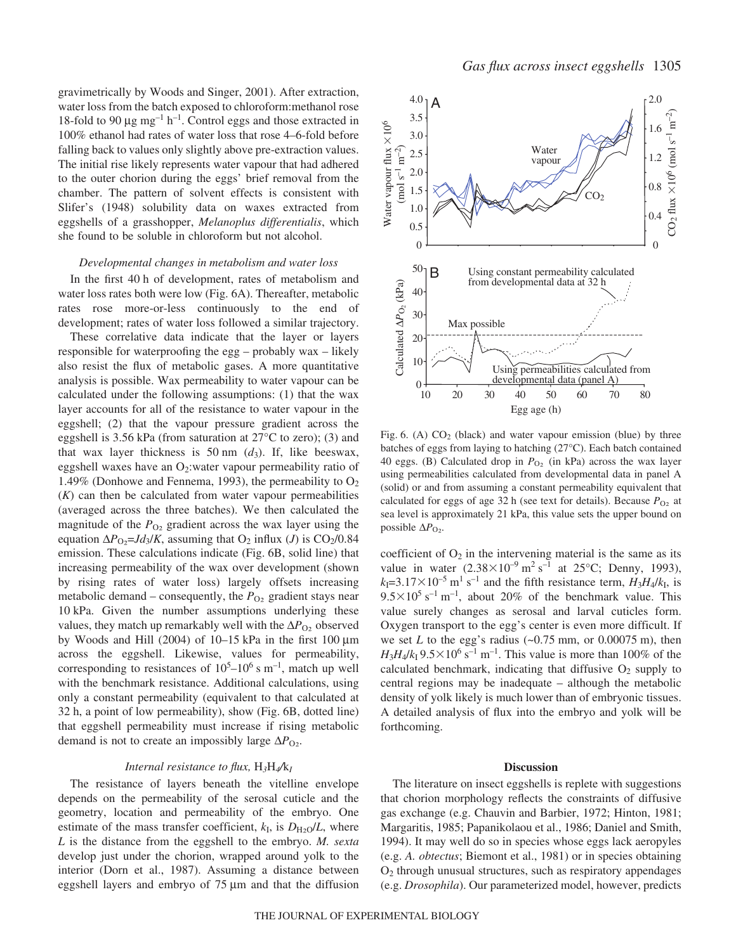gravimetrically by Woods and Singer, 2001). After extraction, water loss from the batch exposed to chloroform:methanol rose 18-fold to 90  $\mu$ g mg<sup>-1</sup> h<sup>-1</sup>. Control eggs and those extracted in 100% ethanol had rates of water loss that rose 4–6-fold before falling back to values only slightly above pre-extraction values. The initial rise likely represents water vapour that had adhered to the outer chorion during the eggs' brief removal from the chamber. The pattern of solvent effects is consistent with Slifer's (1948) solubility data on waxes extracted from eggshells of a grasshopper, *Melanoplus differentialis*, which she found to be soluble in chloroform but not alcohol.

## *Developmental changes in metabolism and water loss*

In the first 40 h of development, rates of metabolism and water loss rates both were low (Fig. 6A). Thereafter, metabolic rates rose more-or-less continuously to the end of development; rates of water loss followed a similar trajectory.

These correlative data indicate that the layer or layers responsible for waterproofing the egg – probably wax – likely also resist the flux of metabolic gases. A more quantitative analysis is possible. Wax permeability to water vapour can be calculated under the following assumptions: (1) that the wax layer accounts for all of the resistance to water vapour in the eggshell; (2) that the vapour pressure gradient across the eggshell is 3.56 kPa (from saturation at  $27^{\circ}$ C to zero); (3) and that wax layer thickness is 50 nm  $(d_3)$ . If, like beeswax, eggshell waxes have an  $O_2$ : water vapour permeability ratio of 1.49% (Donhowe and Fennema, 1993), the permeability to  $O_2$ (*K*) can then be calculated from water vapour permeabilities (averaged across the three batches). We then calculated the magnitude of the  $P_{\text{O}_2}$  gradient across the wax layer using the equation  $\Delta P_{\text{O}_2} = J d_3 / K$ , assuming that  $\text{O}_2$  influx (*J*) is CO<sub>2</sub>/0.84 emission. These calculations indicate (Fig. 6B, solid line) that increasing permeability of the wax over development (shown by rising rates of water loss) largely offsets increasing metabolic demand – consequently, the  $P_{O<sub>2</sub>}$  gradient stays near 10 kPa. Given the number assumptions underlying these values, they match up remarkably well with the ΔP<sub>O2</sub> observed by Woods and Hill (2004) of  $10-15$  kPa in the first  $100 \mu m$ across the eggshell. Likewise, values for permeability, corresponding to resistances of  $10^5 - 10^6$  s m<sup>-1</sup>, match up well with the benchmark resistance. Additional calculations, using only a constant permeability (equivalent to that calculated at 32 h, a point of low permeability), show (Fig. 6B, dotted line) that eggshell permeability must increase if rising metabolic demand is not to create an impossibly large ΔP<sub>O2</sub>.

## *Internal resistance to flux,* H*3*H*4/*k*<sup>I</sup>*

The resistance of layers beneath the vitelline envelope depends on the permeability of the serosal cuticle and the geometry, location and permeability of the embryo. One estimate of the mass transfer coefficient,  $k_I$ , is  $D_{H2O}/L$ , where *L* is the distance from the eggshell to the embryo. *M. sexta* develop just under the chorion, wrapped around yolk to the interior (Dorn et al., 1987). Assuming a distance between eggshell layers and embryo of  $75~\mu m$  and that the diffusion



Fig. 6. (A)  $CO<sub>2</sub>$  (black) and water vapour emission (blue) by three batches of eggs from laying to hatching (27°C). Each batch contained 40 eggs. (B) Calculated drop in  $P_{O<sub>2</sub>}$  (in kPa) across the wax layer using permeabilities calculated from developmental data in panel A (solid) or and from assuming a constant permeability equivalent that calculated for eggs of age 32 h (see text for details). Because  $P_{O<sub>2</sub>}$  at sea level is approximately 21 kPa, this value sets the upper bound on possible ΔP<sub>O2</sub>.

coefficient of  $O_2$  in the intervening material is the same as its value in water  $(2.38 \times 10^{-9} \text{ m}^2 \text{ s}^{-1}$  at 25°C; Denny, 1993),  $k_1 = 3.17 \times 10^{-5}$  m<sup>1</sup> s<sup>-1</sup> and the fifth resistance term,  $H_3H_4/k_1$ , is  $9.5 \times 10^5$  s<sup>-1</sup> m<sup>-1</sup>, about 20% of the benchmark value. This value surely changes as serosal and larval cuticles form. Oxygen transport to the egg's center is even more difficult. If we set *L* to the egg's radius  $(-0.75 \text{ mm})$ , or  $0.00075 \text{ m}$ ), then  $H_3H_4/k_1$  9.5 $\times$ 10<sup>6</sup> s<sup>-1</sup> m<sup>-1</sup>. This value is more than 100% of the calculated benchmark, indicating that diffusive  $O_2$  supply to central regions may be inadequate – although the metabolic density of yolk likely is much lower than of embryonic tissues. A detailed analysis of flux into the embryo and yolk will be forthcoming.

#### **Discussion**

The literature on insect eggshells is replete with suggestions that chorion morphology reflects the constraints of diffusive gas exchange (e.g. Chauvin and Barbier, 1972; Hinton, 1981; Margaritis, 1985; Papanikolaou et al., 1986; Daniel and Smith, 1994). It may well do so in species whose eggs lack aeropyles (e.g. *A. obtectus*; Biemont et al., 1981) or in species obtaining  $O<sub>2</sub>$  through unusual structures, such as respiratory appendages (e.g. *Drosophila*). Our parameterized model, however, predicts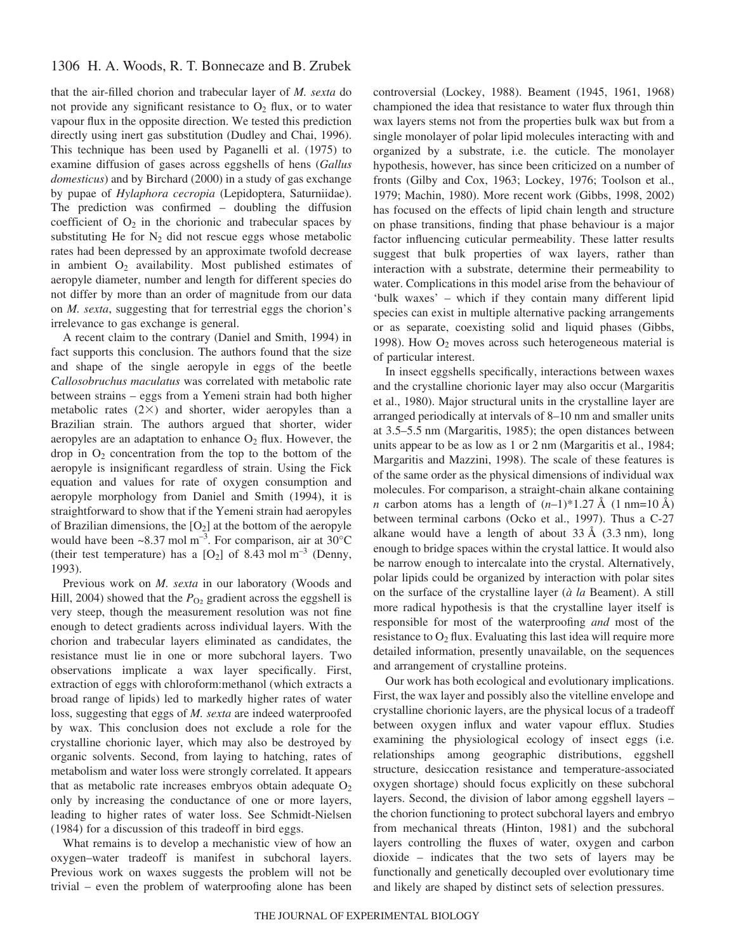that the air-filled chorion and trabecular layer of *M. sexta* do not provide any significant resistance to  $O_2$  flux, or to water vapour flux in the opposite direction. We tested this prediction directly using inert gas substitution (Dudley and Chai, 1996). This technique has been used by Paganelli et al. (1975) to examine diffusion of gases across eggshells of hens (*Gallus domesticus*) and by Birchard (2000) in a study of gas exchange by pupae of *Hylaphora cecropia* (Lepidoptera, Saturniidae). The prediction was confirmed – doubling the diffusion coefficient of  $O_2$  in the chorionic and trabecular spaces by substituting He for  $N_2$  did not rescue eggs whose metabolic rates had been depressed by an approximate twofold decrease in ambient  $O_2$  availability. Most published estimates of aeropyle diameter, number and length for different species do not differ by more than an order of magnitude from our data on *M. sexta*, suggesting that for terrestrial eggs the chorion's irrelevance to gas exchange is general.

A recent claim to the contrary (Daniel and Smith, 1994) in fact supports this conclusion. The authors found that the size and shape of the single aeropyle in eggs of the beetle *Callosobruchus maculatus* was correlated with metabolic rate between strains – eggs from a Yemeni strain had both higher metabolic rates  $(2\times)$  and shorter, wider aeropyles than a Brazilian strain. The authors argued that shorter, wider aeropyles are an adaptation to enhance  $O_2$  flux. However, the drop in  $O_2$  concentration from the top to the bottom of the aeropyle is insignificant regardless of strain. Using the Fick equation and values for rate of oxygen consumption and aeropyle morphology from Daniel and Smith (1994), it is straightforward to show that if the Yemeni strain had aeropyles of Brazilian dimensions, the  $[O_2]$  at the bottom of the aeropyle would have been  $\sim 8.37$  mol m<sup>-3</sup>. For comparison, air at 30°C (their test temperature) has a  $[O_2]$  of 8.43 mol m<sup>-3</sup> (Denny, 1993).

Previous work on *M. sexta* in our laboratory (Woods and Hill, 2004) showed that the  $P_{O<sub>2</sub>}$  gradient across the eggshell is very steep, though the measurement resolution was not fine enough to detect gradients across individual layers. With the chorion and trabecular layers eliminated as candidates, the resistance must lie in one or more subchoral layers. Two observations implicate a wax layer specifically. First, extraction of eggs with chloroform:methanol (which extracts a broad range of lipids) led to markedly higher rates of water loss, suggesting that eggs of *M. sexta* are indeed waterproofed by wax. This conclusion does not exclude a role for the crystalline chorionic layer, which may also be destroyed by organic solvents. Second, from laying to hatching, rates of metabolism and water loss were strongly correlated. It appears that as metabolic rate increases embryos obtain adequate  $O_2$ only by increasing the conductance of one or more layers, leading to higher rates of water loss. See Schmidt-Nielsen (1984) for a discussion of this tradeoff in bird eggs.

What remains is to develop a mechanistic view of how an oxygen–water tradeoff is manifest in subchoral layers. Previous work on waxes suggests the problem will not be trivial – even the problem of waterproofing alone has been

controversial (Lockey, 1988). Beament (1945, 1961, 1968) championed the idea that resistance to water flux through thin wax layers stems not from the properties bulk wax but from a single monolayer of polar lipid molecules interacting with and organized by a substrate, i.e. the cuticle. The monolayer hypothesis, however, has since been criticized on a number of fronts (Gilby and Cox, 1963; Lockey, 1976; Toolson et al., 1979; Machin, 1980). More recent work (Gibbs, 1998, 2002) has focused on the effects of lipid chain length and structure on phase transitions, finding that phase behaviour is a major factor influencing cuticular permeability. These latter results suggest that bulk properties of wax layers, rather than interaction with a substrate, determine their permeability to water. Complications in this model arise from the behaviour of 'bulk waxes' – which if they contain many different lipid species can exist in multiple alternative packing arrangements or as separate, coexisting solid and liquid phases (Gibbs, 1998). How  $O_2$  moves across such heterogeneous material is of particular interest.

In insect eggshells specifically, interactions between waxes and the crystalline chorionic layer may also occur (Margaritis et al., 1980). Major structural units in the crystalline layer are arranged periodically at intervals of 8–10 nm and smaller units at 3.5–5.5·nm (Margaritis, 1985); the open distances between units appear to be as low as 1 or 2 nm (Margaritis et al., 1984; Margaritis and Mazzini, 1998). The scale of these features is of the same order as the physical dimensions of individual wax molecules. For comparison, a straight-chain alkane containing *n* carbon atoms has a length of  $(n-1)*1.27 \text{ Å}$  (1 nm=10 Å) between terminal carbons (Ocko et al., 1997). Thus a C-27 alkane would have a length of about  $33 \text{ Å}$  (3.3 nm), long enough to bridge spaces within the crystal lattice. It would also be narrow enough to intercalate into the crystal. Alternatively, polar lipids could be organized by interaction with polar sites on the surface of the crystalline layer (*à la* Beament). A still more radical hypothesis is that the crystalline layer itself is responsible for most of the waterproofing *and* most of the resistance to  $O_2$  flux. Evaluating this last idea will require more detailed information, presently unavailable, on the sequences and arrangement of crystalline proteins.

Our work has both ecological and evolutionary implications. First, the wax layer and possibly also the vitelline envelope and crystalline chorionic layers, are the physical locus of a tradeoff between oxygen influx and water vapour efflux. Studies examining the physiological ecology of insect eggs (i.e. relationships among geographic distributions, eggshell structure, desiccation resistance and temperature-associated oxygen shortage) should focus explicitly on these subchoral layers. Second, the division of labor among eggshell layers – the chorion functioning to protect subchoral layers and embryo from mechanical threats (Hinton, 1981) and the subchoral layers controlling the fluxes of water, oxygen and carbon dioxide – indicates that the two sets of layers may be functionally and genetically decoupled over evolutionary time and likely are shaped by distinct sets of selection pressures.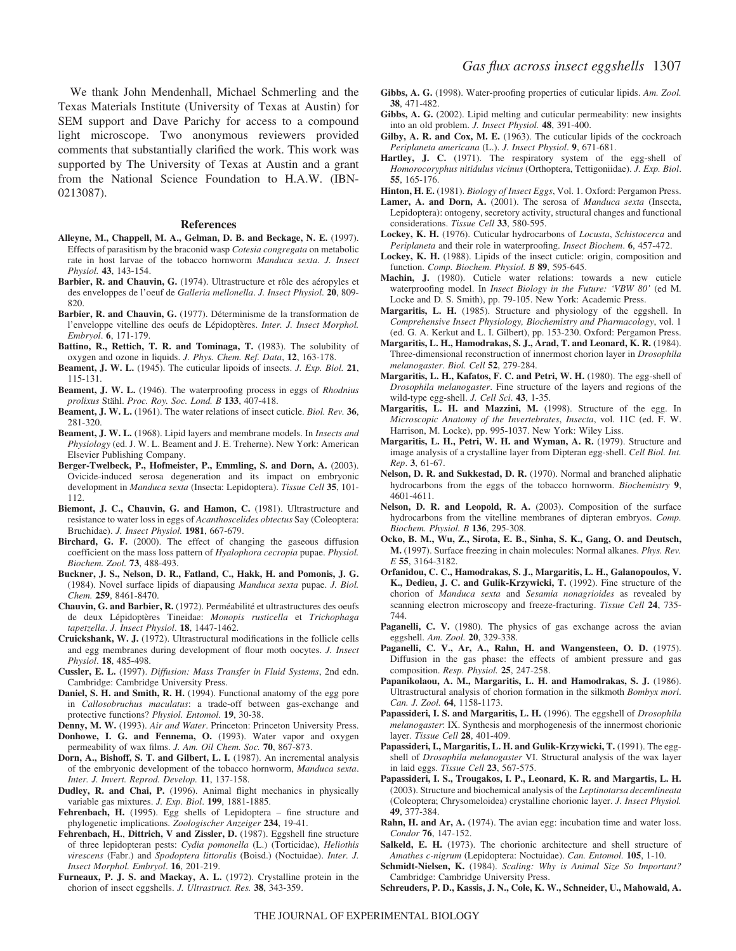We thank John Mendenhall, Michael Schmerling and the Texas Materials Institute (University of Texas at Austin) for SEM support and Dave Parichy for access to a compound light microscope. Two anonymous reviewers provided comments that substantially clarified the work. This work was supported by The University of Texas at Austin and a grant from the National Science Foundation to H.A.W. (IBN-0213087).

#### **References**

- **Alleyne, M., Chappell, M. A., Gelman, D. B. and Beckage, N. E.** (1997). Effects of parasitism by the braconid wasp *Cotesia congregata* on metabolic rate in host larvae of the tobacco hornworm *Manduca sexta*. *J. Insect Physiol.* **43**, 143-154.
- **Barbier, R. and Chauvin, G.** (1974). Ultrastructure et rôle des aéropyles et des enveloppes de l'oeuf de *Galleria mellonella*. *J. Insect Physiol*. **20**, 809- 820.
- **Barbier, R. and Chauvin, G.** (1977). Déterminisme de la transformation de l'enveloppe vitelline des oeufs de Lépidoptères. *Inter. J. Insect Morphol. Embryol*. **6**, 171-179.
- Battino, R., Rettich, T. R. and Tominaga, T. (1983). The solubility of oxygen and ozone in liquids. *J. Phys. Chem. Ref. Data*, **12**, 163-178.
- **Beament, J. W. L.** (1945). The cuticular lipoids of insects. *J. Exp. Biol.* **21**, 115-131.
- **Beament, J. W. L.** (1946). The waterproofing process in eggs of *Rhodnius prolixus* Stähl. *Proc. Roy. Soc. Lond. B* **133**, 407-418.
- **Beament, J. W. L.** (1961). The water relations of insect cuticle. *Biol. Rev.* **36**, 281-320.
- **Beament, J. W. L.** (1968). Lipid layers and membrane models. In *Insects and Physiology* (ed. J. W. L. Beament and J. E. Treherne). New York: American Elsevier Publishing Company.
- **Berger-Twelbeck, P., Hofmeister, P., Emmling, S. and Dorn, A.** (2003). Ovicide-induced serosa degeneration and its impact on embryonic development in *Manduca sexta* (Insecta: Lepidoptera). *Tissue Cell* **35**, 101- 112.
- **Biemont, J. C., Chauvin, G. and Hamon, C.** (1981). Ultrastructure and resistance to water loss in eggs of *Acanthoscelides obtectus* Say (Coleoptera: Bruchidae). *J. Insect Physiol.* **1981**, 667-679.
- **Birchard, G. F.** (2000). The effect of changing the gaseous diffusion coefficient on the mass loss pattern of *Hyalophora cecropia* pupae. *Physiol. Biochem. Zool.* **73**, 488-493.
- **Buckner, J. S., Nelson, D. R., Fatland, C., Hakk, H. and Pomonis, J. G.** (1984). Novel surface lipids of diapausing *Manduca sexta* pupae. *J. Biol. Chem.* **259**, 8461-8470.
- **Chauvin, G. and Barbier, R.** (1972). Perméabilité et ultrastructures des oeufs de deux Lépidoptères Tineidae: *Monopis rusticella* et *Trichophaga tapetzella*. *J. Insect Physiol*. **18**, 1447-1462.
- **Cruickshank, W. J.** (1972). Ultrastructural modifications in the follicle cells and egg membranes during development of flour moth oocytes. *J. Insect Physiol*. **18**, 485-498.
- **Cussler, E. L.** (1997). *Diffusion: Mass Transfer in Fluid Systems*, 2nd edn. Cambridge: Cambridge University Press.
- **Daniel, S. H. and Smith, R. H.** (1994). Functional anatomy of the egg pore in *Callosobruchus maculatus*: a trade-off between gas-exchange and protective functions? *Physiol. Entomol.* **19**, 30-38.

**Denny, M. W.** (1993). *Air and Water*. Princeton: Princeton University Press.

- **Donhowe, I. G. and Fennema, O.** (1993). Water vapor and oxygen permeability of wax films. *J. Am. Oil Chem. Soc.* **70**, 867-873.
- **Dorn, A., Bishoff, S. T. and Gilbert, L. I.** (1987). An incremental analysis of the embryonic development of the tobacco hornworm, *Manduca sexta*. *Inter. J. Invert. Reprod. Develop.* **11**, 137-158.
- **Dudley, R. and Chai, P.** (1996). Animal flight mechanics in physically variable gas mixtures. *J. Exp. Biol*. **199**, 1881-1885.
- **Fehrenbach, H.** (1995). Egg shells of Lepidoptera fine structure and phylogenetic implications. *Zoologischer Anzeiger* **234**, 19-41.
- **Fehrenbach, H.**, **Dittrich, V and Zissler, D.** (1987). Eggshell fine structure of three lepidopteran pests: *Cydia pomonella* (L.) (Torticidae), *Heliothis virescens* (Fabr.) and *Spodoptera littoralis* (Boisd.) (Noctuidae). *Inter. J. Insect Morphol. Embryol*. **16**, 201-219.
- Furneaux, P. J. S. and Mackay, A. L. (1972). Crystalline protein in the chorion of insect eggshells. *J. Ultrastruct. Res.* **38**, 343-359.
- **Gibbs, A. G.** (1998). Water-proofing properties of cuticular lipids. *Am. Zool.* **38**, 471-482.
- **Gibbs, A. G.** (2002). Lipid melting and cuticular permeability: new insights into an old problem. *J. Insect Physiol.* **48**, 391-400.
- Gilby, A. R. and Cox, M. E. (1963). The cuticular lipids of the cockroach *Periplaneta americana* (L.). *J. Insect Physiol*. **9**, 671-681.
- **Hartley, J. C.** (1971). The respiratory system of the egg-shell of *Homorocoryphus nitidulus vicinus* (Orthoptera, Tettigoniidae). *J. Exp. Biol*. **55**, 165-176.

**Hinton, H. E.** (1981). *Biology of Insect Eggs*, Vol. 1. Oxford: Pergamon Press.

- **Lamer, A. and Dorn, A.** (2001). The serosa of *Manduca sexta* (Insecta, Lepidoptera): ontogeny, secretory activity, structural changes and functional considerations. *Tissue Cell* **33**, 580-595.
- **Lockey, K. H.** (1976). Cuticular hydrocarbons of *Locusta*, *Schistocerca* and *Periplaneta* and their role in waterproofing. *Insect Biochem*. **6**, 457-472.
- **Lockey, K. H.** (1988). Lipids of the insect cuticle: origin, composition and function. *Comp. Biochem. Physiol. B* **89**, 595-645.
- **Machin, J.** (1980). Cuticle water relations: towards a new cuticle waterproofing model. In *Insect Biology in the Future: 'VBW 80'* (ed M. Locke and D. S. Smith), pp. 79-105. New York: Academic Press.
- **Margaritis, L. H.** (1985). Structure and physiology of the eggshell. In *Comprehensive Insect Physiology, Biochemistry and Pharmacology*, vol. 1 (ed. G. A. Kerkut and L. I. Gilbert), pp. 153-230. Oxford: Pergamon Press.
- **Margaritis, L. H., Hamodrakas, S. J., Arad, T. and Leonard, K. R.** (1984). Three-dimensional reconstruction of innermost chorion layer in *Drosophila melanogaster*. *Biol. Cell* **52**, 279-284.
- Margaritis, L. H., Kafatos, F. C. and Petri, W. H. (1980). The egg-shell of *Drosophila melanogaster*. Fine structure of the layers and regions of the wild-type egg-shell. *J. Cell Sci*. **43**, 1-35.
- **Margaritis, L. H. and Mazzini, M.** (1998). Structure of the egg. In *Microscopic Anatomy of the Invertebrates*, *Insecta*, vol. 11C (ed. F. W. Harrison, M. Locke), pp. 995-1037. New York: Wiley Liss.
- **Margaritis, L. H., Petri, W. H. and Wyman, A. R.** (1979). Structure and image analysis of a crystalline layer from Dipteran egg-shell. *Cell Biol. Int. Rep*. **3**, 61-67.
- **Nelson, D. R. and Sukkestad, D. R.** (1970). Normal and branched aliphatic hydrocarbons from the eggs of the tobacco hornworm. *Biochemistry* **9**, 4601-4611.
- Nelson, D. R. and Leopold, R. A. (2003). Composition of the surface hydrocarbons from the vitelline membranes of dipteran embryos. *Comp. Biochem. Physiol. B* **136**, 295-308.
- **Ocko, B. M., Wu, Z., Sirota, E. B., Sinha, S. K., Gang, O. and Deutsch, M.** (1997). Surface freezing in chain molecules: Normal alkanes. *Phys. Rev. E* **55**, 3164-3182.
- **Orfanidou, C. C., Hamodrakas, S. J., Margaritis, L. H., Galanopoulos, V. K., Dedieu, J. C. and Gulik-Krzywicki, T.** (1992). Fine structure of the chorion of *Manduca sexta* and *Sesamia nonagrioides* as revealed by scanning electron microscopy and freeze-fracturing. *Tissue Cell* **24**, 735- 744.
- Paganelli, C. V. (1980). The physics of gas exchange across the avian eggshell. *Am. Zool.* **20**, 329-338.
- **Paganelli, C. V., Ar, A., Rahn, H. and Wangensteen, O. D.** (1975). Diffusion in the gas phase: the effects of ambient pressure and gas composition. *Resp. Physiol.* **25**, 247-258.
- **Papanikolaou, A. M., Margaritis, L. H. and Hamodrakas, S. J.** (1986). Ultrastructural analysis of chorion formation in the silkmoth *Bombyx mori*. *Can. J. Zool.* **64**, 1158-1173.
- **Papassideri, I. S. and Margaritis, L. H.** (1996). The eggshell of *Drosophila melanogaster*: IX. Synthesis and morphogenesis of the innermost chorionic layer. *Tissue Cell* **28**, 401-409.
- **Papassideri, I., Margaritis, L. H. and Gulik-Krzywicki, T.** (1991). The eggshell of *Drosophila melanogaster* VI. Structural analysis of the wax layer in laid eggs. *Tissue Cell* **23**, 567-575.
- **Papassideri, I. S., Trougakos, I. P., Leonard, K. R. and Margartis, L. H.** (2003). Structure and biochemical analysis of the *Leptinotarsa decemlineata* (Coleoptera; Chrysomeloidea) crystalline chorionic layer. *J. Insect Physiol.* **49**, 377-384.
- **Rahn, H. and Ar, A.** (1974). The avian egg: incubation time and water loss. *Condor* **76**, 147-152.
- **Salkeld, E. H.** (1973). The chorionic architecture and shell structure of *Amathes c-nigrum* (Lepidoptera: Noctuidae). *Can. Entomol.* **105**, 1-10.
- **Schmidt-Nielsen, K.** (1984). *Scaling: Why is Animal Size So Important?* Cambridge: Cambridge University Press.
- **Schreuders, P. D., Kassis, J. N., Cole, K. W., Schneider, U., Mahowald, A.**